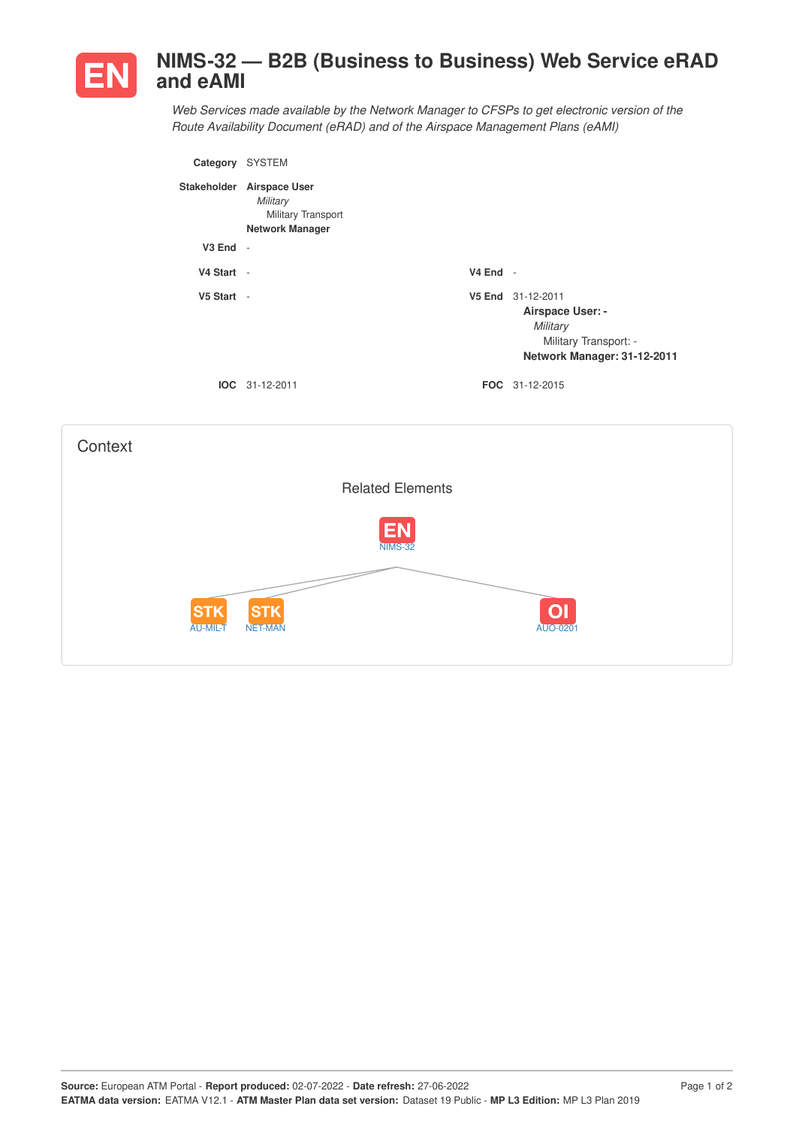

## **NIMS-32 — B2B (Business to Business) Web Service eRAD and eAMI**

*Web Services made available by the Network Manager to CFSPs to get electronic version of the Route Availability Document (eRAD) and of the Airspace Management Plans (eAMI)*

| Category           | <b>SYSTEM</b>                                                                    |            |                                                                                                                  |
|--------------------|----------------------------------------------------------------------------------|------------|------------------------------------------------------------------------------------------------------------------|
| <b>Stakeholder</b> | <b>Airspace User</b><br>Military<br>Military Transport<br><b>Network Manager</b> |            |                                                                                                                  |
| $V3$ End $-$       |                                                                                  |            |                                                                                                                  |
| V4 Start -         |                                                                                  | $V4$ End - |                                                                                                                  |
| V5 Start -         |                                                                                  |            | V5 End 31-12-2011<br><b>Airspace User: -</b><br>Military<br>Military Transport: -<br>Network Manager: 31-12-2011 |
|                    | $IOC 31-12-2011$                                                                 |            | <b>FOC</b> 31-12-2015                                                                                            |